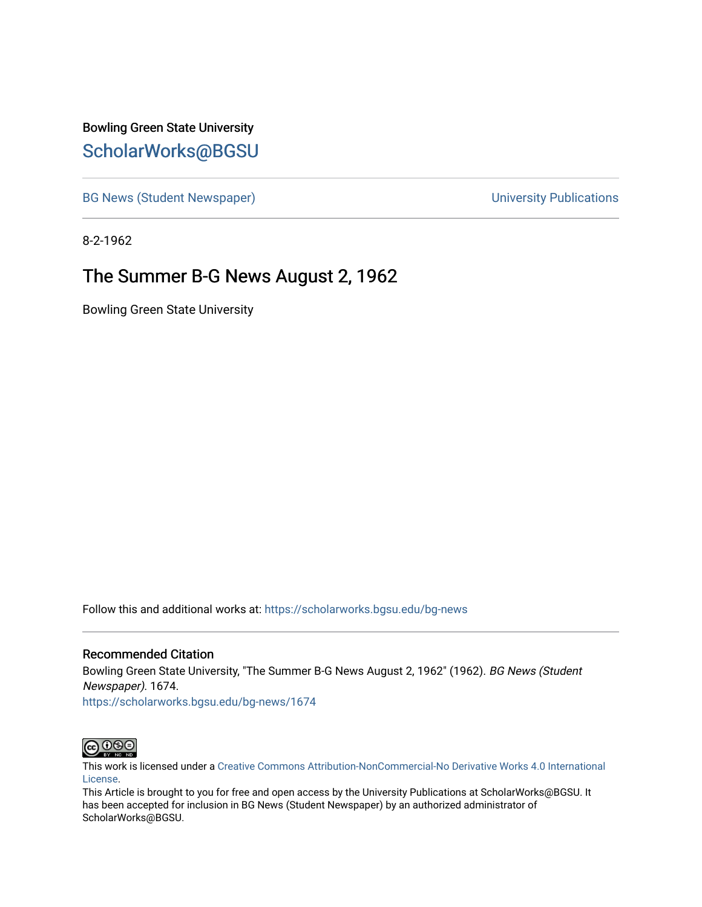Bowling Green State University [ScholarWorks@BGSU](https://scholarworks.bgsu.edu/) 

[BG News \(Student Newspaper\)](https://scholarworks.bgsu.edu/bg-news) and the [University Publications](https://scholarworks.bgsu.edu/campus) of the University Publications

8-2-1962

# The Summer B-G News August 2, 1962

Bowling Green State University

Follow this and additional works at: [https://scholarworks.bgsu.edu/bg-news](https://scholarworks.bgsu.edu/bg-news?utm_source=scholarworks.bgsu.edu%2Fbg-news%2F1674&utm_medium=PDF&utm_campaign=PDFCoverPages)

### Recommended Citation

Bowling Green State University, "The Summer B-G News August 2, 1962" (1962). BG News (Student Newspaper). 1674. [https://scholarworks.bgsu.edu/bg-news/1674](https://scholarworks.bgsu.edu/bg-news/1674?utm_source=scholarworks.bgsu.edu%2Fbg-news%2F1674&utm_medium=PDF&utm_campaign=PDFCoverPages) 

 $\bigcirc$  090

This work is licensed under a [Creative Commons Attribution-NonCommercial-No Derivative Works 4.0 International](https://creativecommons.org/licenses/by-nc-nd/4.0/) [License.](https://creativecommons.org/licenses/by-nc-nd/4.0/)

This Article is brought to you for free and open access by the University Publications at ScholarWorks@BGSU. It has been accepted for inclusion in BG News (Student Newspaper) by an authorized administrator of ScholarWorks@BGSU.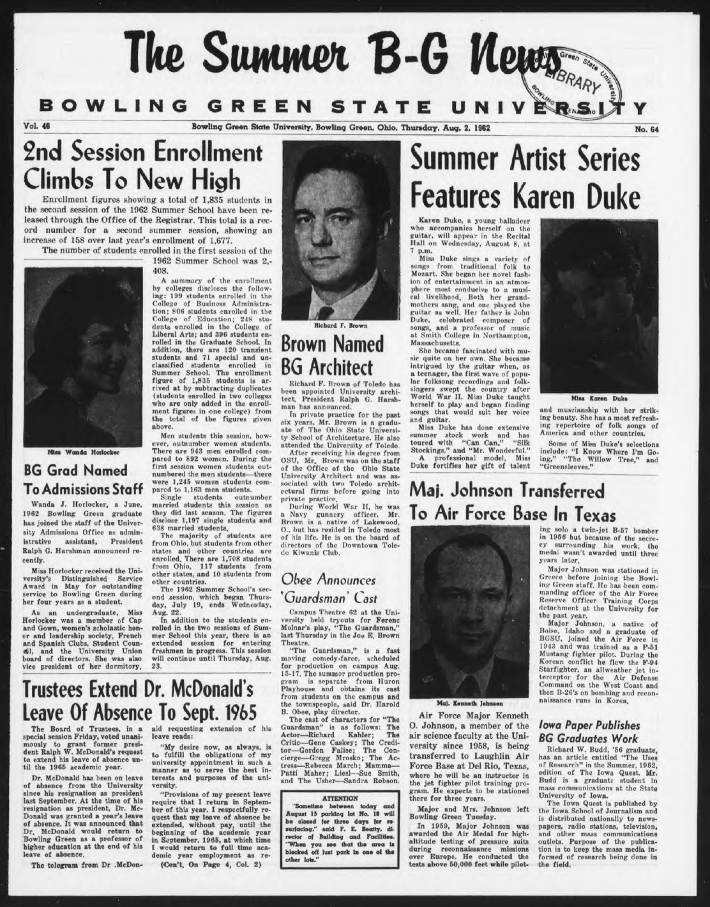# **Ik Suwwe\* B-G <sup>W</sup>**

# **BOWLING GREEN STATE UNIV**

Vol. 46 **Bowling Green State University. Bowling Green. Ohio. Thursday. Aug. 2. 1962 No. 64** 

# **2nd Session Enrollment Climbs To New High**

Enrollment figures showing a total of 1.835 students in the second session of the 1962 Summer School have been released through the Office of the Registrar. This total is a record number for a second summer session, showing an increase of 168 over last year's enrollment of 1,677.

The number of students enrolled in the first session of the 1962 Summer School was 2,- 408.



Miss Wanda Horlockey

# **BG Grad Named To Admissions Staff**

Wanda J. Horlocker, a June, 1962 Bowling: Green graduate has joined the staff of the University Admissions Office as admin-<br>istrative assistant, President assistant, President Ralph G. Harshman announced recently.

Miss Horlocker received the University's Distinguished Service Award in May for outstanding<br>service to Bowling Green during<br>her four years as a student.

As an undergraduate, Miss Horlocker was a member of Cap and down, women's scholastic hon-or and leadership society, French and Spanish Clubs, Student Coun-cil, and the University Union board of directors. She was also vice president of her dormitory.

ing: 199 students enrolled in the College of Business Administration; 806 students enrolled in the Richard F. Brown

# Brown Named BG Architect

Richard P. Brown of Toledo has been appointed University archi-<br>tect. President Ralph G. Harsh-President Ralph G. Harshman has announced.

In private practice for the past six years, Mr. Brown is a gradu-ate of The Ohio State Universi-ty School of Architecture. He also attended the University of Toledo. After receiving his degree from<br>OSU, Mr. Brown was on the staff<br>of the Office of the Ohio State<br>University Architect and was as-<br>sociated with two Toledo architectural firms before going into private practice.

During World War II, he was<br>a Navy gunnery officer. Mr.<br>Brown is a native of Lakewood,<br>O., but has resided in Toledo most of his life. He is on the hoard of directors of the Downtown Toledo Kiwanis Club.

### *Obee Announces 'Guardsman' Cast*

Campus Theatre 62 at the University held tryouts for Ferenc Molnar's play, "The Guardsman," last Thursday in the Joe E. Brown

Theatre. "The Guardsman," is a fast moving comedy-farce, scheduled<br>for production on campus Aug. production on campus Aug. 15-17. The summer production program is separate from Huron Playhouse and obtains its cast from students on the campus and the townspeople, said Dr. Harold B. Obee, play director.

The cast of characters for "The<br>Guardsman" is as follows: The<br>Actor—Richard Kahler; The<br>Critic—Gene Caskey; The Credi-<br>tor—Gordon Falise; The Concierge—Gregg Mrosko; The Actress—Rebecca March; Mamma— Patti Maher; Liesl—Sue Smith, and The Usher-—Sandra Robson.

#### **ATTENTION**

"Sometime between today and August 15 parking lot No. 18 will be closed for three days for resurfacing," said F. E. Beatty, di-<br>rector of Building and Facilities.<br>"When you see that the area is<br>blocked off just park in one of the other lots."

# **Summer Artist Series Features Karen Duke**

Karen Duke, a young balladeer who accompanies herself on the guitar, will appear in the Recital Hall on Wednesday, August 8, at

7 p.m. Miss Duke sings a variety of songs from traditional folk to Mozart. She began her novel fash-ion of entertainment in an atmosphere most conducive to a musi-cal livelihood. Both her grandmothers sang, and one played the<br>guitar as well. Her father is John<br>Duke, celebrated composer of<br>songs, and a professor of music<br>at Smith College in Northampton, Massachusetts.

She became fascinated with music quite on her own. She became intrigued by the guitar when, as a teenager, the first wave of popular folksong recordings and folksingers swept the country after World War II. Miss Duke taught herself to play and began finding songs that would suit her voice and guitar.

Miss Duke has done extensive summer stock work and has toured with "Can Can," "Silk Stockings," and "Mr. Wonderful." A professional model, Miss Duke fortifies her gift of talent



Mis. Koran Duk.

and muscianship with her striking beauty. She has a most refreshing repertoire of folk songs of America and other countries.

Some of Miss Duke's selections include: "I Know Where I'm Go-ing," "The Willow Tree," and ing," "The V<br>"Greensleeves."

# **Maj. Johnson Transferred To Air Force Base In Texas**



### Maj. Kenneth Johnson

Air Force Major Kenneth O. Johnson, a member of the air science faculty at the University since 1958, is being transferred to Laughlin Air Force Base at Del Rio, Texas, where he will be an instructor in the jet fighter pilot training program. He expects to be stationed there for three years.

Major and Mrs. Johnson left Bowling Green Tuesday.

In 1959, Major Johnson was awarded the Air Medal for highaltitude testing of pressure suits during reconnaissance missions over Europe. He conducted the tests above 50,000 feet while piloting solo a twin-jet B-67 bomber in 1956 but because of the secre-<br>cy surrounding his work, the<br>medal wasn't awarded until three years later.

Major Johnson was stationed in Greece before joining the Bowl-<br>ing Green staff. He has been commanding officer of the Air Force Reserve Officer Training Corps detachment at the University for the past year.<br>Major Johnson, a native of

Major Johnson, a native of Boise, Idaho and a graduate of BGSU, joined the Air Force in 1943 and was trained as a P-51<br>Mustang fighter pilot. During the<br>Korean conflict he flew the F-94<br>Starfighter, an allweather jet interceptor for the Air Defense Command on the West Coast and then B-26's on bombing and reconnaissance runs in Korea,

### *Iowa Paper Publishes BG Graduates Work*

Richard W. Budd, '66 graduate, has an article entitled "The Uses of Research" in the Summer, 1962, edition of The Iowa Quest. Mr. Budd is a graduate student in mass communications at the State University of Iowa.

The Iowa Quest is published by the Iowa School of Journalism and is distributed nationally to news-papers, radio stations, television, and other mass communications outlets. Purpose of the publication is to keep the mass media in-formed of research being done in the field.

# Trustees Extend Dr. McDonald's Leave Of Absence To Sept. 1965 ald requesting extension of his

leave reads:

versity.

The Board of Trustees, in a special session Friday, voted unanimously to grant former presi-dent Ralph W. McDonald's request to extend his leave of absence until the 1966 academic year.

Dr. McDonald has been on leave of absence from the University since his resignation as president last September. At the time of his resignation as president. Dr. Mc-Donald was granted a year's leave of absence. It was announced that Dr. McDonald would return to Bowling Green as a professor of higher education at the end of his leave of absence.

The telegram from Dr .McDon-

(students enrolled in two colleges who are only added in the enrollment figures in one college) from the total of the figures given above. Men students this session, how-

ever, outnumber women students. There are 943 men enrolled compared to 892 women. During the first session women students outnumbered the men students—there were 1,245 women students compared to 1,163 men students.

A summary of the enrollment by colleges discloses the follow-

College of Education; 248 stu-<br>dents enrolled in the College of<br>Liberal Arts; and 396 students en-<br>rolled in the Graduate School. In

addition, there are 120 transient students and 71 special and unclassified students enrolled in Summer School. The enrollment figure of 1,835 students is arrived at by subtracting duplicates

Single students outnumber married students this session as they did last season. The figures disclose 1,197 single students and

638 married studenta. The majority of students arc from Ohio, but studenta from other states and other countries are enrolled. There are 1,708 students from Ohio, 117 studenta from other states, and 10 students from other countries.

The 1962 Summer School's second session, which began Thurs-<br>day, July 19, ends Wednesday, July 19, ends Wednesday, Aug. 22.

In addition to the students enrolled in the two sessions of Summer School this year, there is an extended session for entering freshmen in progress. This session will continue until Thursday, Aug. 23.

"My desire now, as always, is to fulfill the obligations of my university appointment in such a manner as to serve the best in-terests and purposes of the uni-

"Provisions of my present leave require that I return in September of this year. I respectfully request that my leave of absence extended, without pay, until the beginning of the academic year in September, 1966, at which time would return to full time academic year employment as re- (Con't. On Page 4, Col. 2)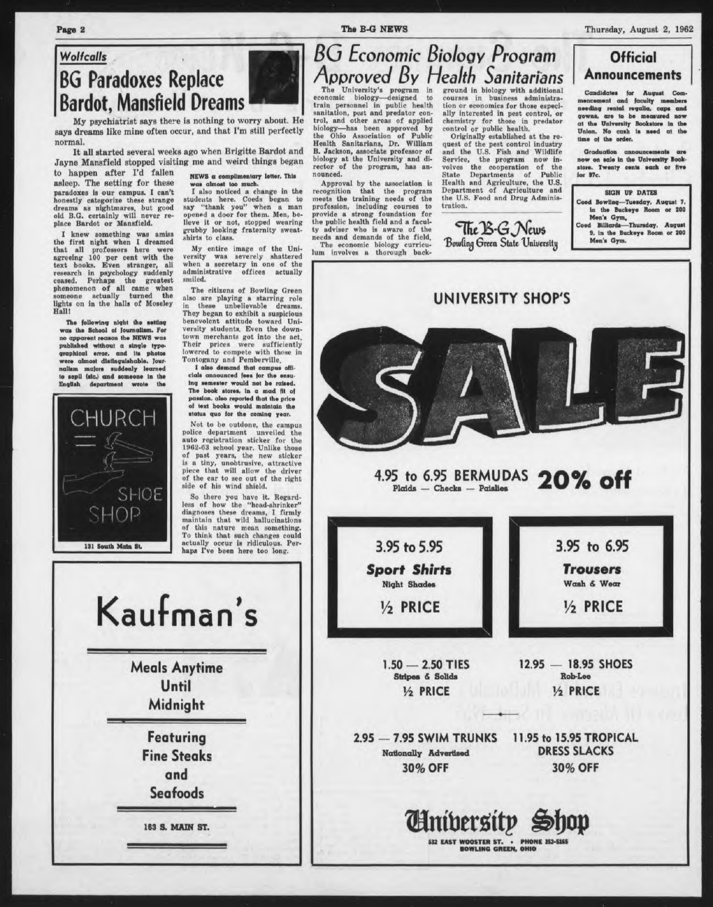*Wolfcalls* BG Paradoxes Replace Bardot, Mansfield Dreams

My psychiatrist says there is nothing to worry about. He says dreams like mine often occur, and that I'm still perfectly normal.

It all started several weeks ago when Brigitte Bardot and Jayne Mansfield stopped visiting me and weird things began

to happen after I'd fallen asleep. The setting for these paradoxes is our campua. I can't honestly categorize these strange dreams as nightmares, but good old B.G. certainly will never replace Bardot or Mansfield.

I knew something was amiss the first night when I dreamed that all profossors here were agreeing 100 per cent with the text books. Even stranger, all research in psychology suddenly ceased. Perhaps the greatest phenomenon of all came when someone actually turned the lights on in the halls of Moseley Hall!

The following night the setting<br>was the School of Journalism. For no apparent reason (he NEWS wai published without a single typographical error, and Its photos were almost distinguishable. Jour-nalism melon suddenly learned lo sepU (sic.) and someone In the English department wrote the

**CHURCH** SHOE SHOP 131 South Main St.

NEWS a complimentary letter. This was almost loo much. I also noticed a change in the

students here. Coeds began to say "thank you" when a man opened a door for them. Men, be-lieve it or not, stopped wearing grubby looking fraternity sweatshirts to class.

My entire image of the University was severely shattered when a secretary in one of the administrative offices actually smiled.

The citizens of Bowling Green also are playing a starring role in these unbelievable dreams. They began to exhibit a suspicious bencvolont attitude toward University students. Even the down-<br>town merchants got into the act. Their prices were sufficiently lowered to compete with those in Tontogany and Pemberville.<br>I also demand that campus officials announced fees for the ensu

ing semester would not be raised. The book stores. In a mad fit of passion, also reported that the price ol text books would maintain the status quo lor the coming year.

Mot to be outdone, the campus police department unveiled the auto registration sticker for the 1962-63 school year. Unlike those of past years, the new sticker is a tiny, unobtrusive, attractive piece that will allow the driver of the car to see out of the right side of his wind shield.

So there you have it. Regardless of how the "hcad-shrinker" diagnoses these dreams, <sup>I</sup> firmly maintain that wild hallucinations<br>of this nature mean something. this nature mean something. To think that such changes could actually occur is ridiculous. Per-haps I've been here too long.

The University's program in<br>economic biology—designed to<br>train personnel in public health<br>sanitation, pest and predator con-<br>trol, and other areas of applied<br>biology—has been approved by<br>the Ohio Association of Public<br>Heal B. Jackson, associate professor of biology at the University and di-rector of the program, has announced.

Approval by the association is<br>recognition that the program<br>profession, including needs of the<br>provide a strong foundation for<br>the public health field and a faculty adviser who is aware of the needs and demands of the field.

The economic biology curricu-lum involves a thorough back-

ground in biology with additional courses in business administra-tion or economics for those especially interested in pest control, or chemistry for those in predator control or public health. Originally established at the re-

quest of the pest control industry and the U.S. Fish and Wildlife Service, the program now in-<br>volves the cooperation of the<br>State Departments of Public<br>Health and Agriculture, the U.S.<br>Department of Agriculture and<br>the U.S. Food and Drug Administration.

The B-G News Bowling Green State University



Candidates for August Com-<br>mencement and faculty members needing rental regalia, caps and gowns, ars to bs measured now at the University Bookstore in the<br>Union. No cash is need at the time of the order.

Graduation announcements are<br>how on sale in the University Book-<br>store. Twenty cents each or five for  $97c$ .

**SIGN UP DATES Coed Bowling—Tussday, August 7, In the Buckeye Room or 200 Men\* Gym, Coed Billiard\*—Thursday. August 9. In ihe Buckeye Room or 200**

**Men's Gym.**



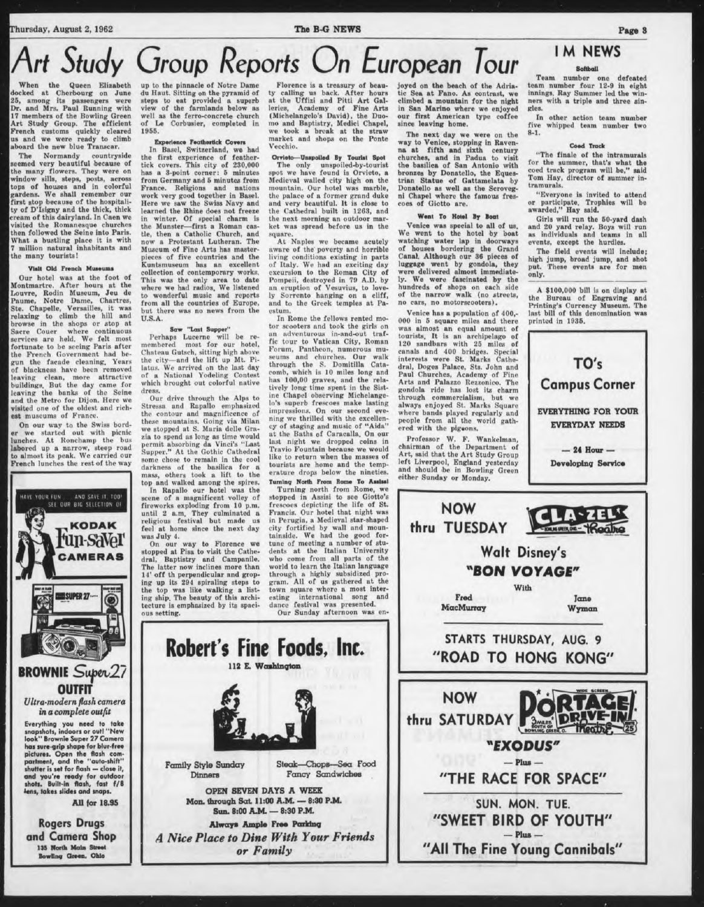# *Art Study Group Reports On European Tour*

Queen Elizabeth docked at Cherbourg on June 25, among its passengers were Dr. and Mrs. Paul Running with 17 members of the Bowling Green Art Study Group. The efficient French customs quickly cleared us and we were ready to climb aboard the new blue Transcar.

The Normandy countryside seemed very beautiful because of the many flowers. They were on window sills, steps, posts, across tops of houses and in colorful gardens. We shall remember our first stop because of the hospitali-ty of D'Isigny and the thick, thick cream of this dairyland. In Caen we visited the Romanesque churches hen followed the Seine into Paris. What a bustling place it is with <sup>7</sup> million natural inhabitants and the many tourists!

### Visit Old French Museums

Our hotel was at the foot of Montmartre. After hours at the I/ouvre, Rodin Museum, Jeu de Paume, Notre Dame, Chartres, Ste. Chapelle, Versailles, it was relaxing to climb the hill and browse in the shops or stop at Sacre Couer where continuous<br>services are held. We felt most<br>fortunate to be seeing Paris after<br>the French Government had begun the facade cleaning. Years of blackness have been removed leaving clean, more attractive<br>buildings But the day came for<br>leaving the banks of the Seine leaving the banks of the Seine<br>and the Metro for Dijon. Here we visited one of the oldest and rich-est museums of France.

On our way to the Swiss bord-er we started out with picnic lunches. At Ronchamp the bus labored up a narrow, steep road to almost its peak. We carried our French lunches the rest of the way



has sure-grip shape for blur-free<br>pictures. Open the flash com-<br>partment, and the "auto-shift"<br>shutter is set for flash — close it, **and you're ready for outdoor shots. Built-in flash, (ait ,/8 lens, takes slides and snaps.**

All for 18.95

**Rogers Drugs and Camera Shop** 135 North Main Street Bowling Green. Ohio

the pinnacle of Notre Dame du Haut. Sitting on the pyramid of steps to eat provided a superb view of the farmlands below as well as the ferro-concrete church<br>of Le Corbusier, completed in Corbusier, completed in 1955.

### Gerience Feathertick Covers

In Basel, Switzerland, we had the first experience of feather-tick covers. This city of 230,000 has a 3-point corner: <sup>6</sup> minutes from Germany and 6 minutes from France. Religions and nations work very good together in Basel. Here we saw the Swiss Navy and learned the Rhine does not freeze in winter. Of special charm is the Munster—first a Roman cas-tle, then a Catholic Church, and now a Protestant Lutheran. The Museum of Fine Arts has masterpieces of five countries and the Kuntsmuseum has an excellent collection of contemporary works. This was the only area to date where we had radios. We listened to wonderful music and reports from all the countries of Europe, but there was no news from the U.S.A.

### Saw "Last Supper

Perhaps Lucerne will be re-membered most for our hotel, Chateau Gutsch, sitting high above<br>the city—and the lift up Mt. Pi-<br>latus. We arrived on the last day<br>of a National Yodeling Contest which brought out colorful native dress.

Our drive through the Alps to<br>Stressa and Rapallo emphasized the contour and magnificence of these mountains. Going via Milan stopped at S. Maria delle Grazia to spend us long as time would permit absorbing da Vinci's "Last Supper." At the Gothic Cathedral some chose to remain in the cool darkness of the basilica for a mass, others took a lift to the

In Rapallo our hotel uses<br>In Rapallo our hotel was the<br>scene of a magnificent volley of<br>fireworks exploding from 10 p.m.<br>until 2 a.m. They culminated a<br>religious festival but made us<br>feel at home since the next day<br>was Jul

On our way to Florence we stopped at Pisa to visit the Cathe-dral, Baptistry and Campanile. The latter now inclines more than 14' off th perpendicular and groping up its 294 spiraling steps to the top was like walking a list-ing ship. The beauty of this archi-tecture is emphasized by its spacious setting.

Family Style Sunday

Dinners

Robert's Fine Foods, Inc. 12 E. Washington

*Chandred Steak-Chop* 

OPEN SEVEN DAYS A WEEK Mon. through Sat 11:00 A.M. — 8:30 P.M. Sun. 8:00 A.M — 8:30 P.M Always Ample Free Parking *A Nice Place to Dine With Your Friends or Family*

Florence is a treasury of beauty calling us back. After hours at the Uffizi and Pitti Art Galleries, Academy of Fine Arts (Michelangelo's David), the Duomo and Baptistry, Medici Chapel, we took a break at the straw market and shops on the Ponte Vecchio.

Orrielo Unspoiled By Tourist Spot The only unspoiled-by-tourist spot we have found is Orvieto, a Medieval walled city high on the mountain. Our hotel was marble, the pulace of a former grand duke and very beautiful. It is close to the Cathedral built in 1263, and the next morning an outdoor market was spread before us in the square.

At Naples we became acutely aware of the poverty and horrible living conditions existing in parts of Italy. We had an exciting day excursion to the Roman City of Pompeii, destroyed in 79 A.D. by an eruption of Vesuvius, to love-ly Sorrento hunging on a cliff, and to the Greek temples at Paestum.

In Rome the fellows rented motor scooters and took the girls on<br>an adventurous in-and-out trafun adventurous in-and-out traf-fic tour to Vatican City, Roman Forum, Pantheon, numerous museums and churches. Our walk through the S. Domitilla Cata-comb, which is 10 miles long and has 100,00 graves, and the relatively long time spent in the Sistine Chapel observing Michelange-lo's superb frescoes make lasting impressions. On our second eve-ning we thrilled with the excellency of staging and music of "Aida" ut the Baths of Caracalla. On our last night we dropped coins in Travio Fountain because we would like to return when the masses of tourists arc home and the temp-erature drops below the nineties. Turning North From Rome To Assissi

Turning north from Rome, we stopped in Assist to see Giotto's frescoes depicting the life of St. Francis. Our hotel that night was in Perugia, a Medieval star-shaped city fortified by wull nnd moun-tainside. We had the good fortune of meeting a number of stu-dents at the Italian University who come from all parts of the world to learn the Italian language through a highly subsidized pro-gram. All of us gathered at the town square where a most inter-esting international song and esting international song<br>dance festival was presented. Our Sunday afternoon was en-

Steak—Chops—Sea Food Fancy Sandwiches

joyed on the beach of the Adriatic Sea at Fano. As contrast, we climbed a mountain for the night in San Marino where we enjoyed our first American type coffee since leaving home.

The next day we were on the way to Venice, stopping in Raven-<br>na at fifth and sixth century<br>churches, and in Padua to visit<br>the basilica of San Antonio with bronzes by Donatello, the Equestrian Statue of Gattamelata by Donatello as well as the Scroveg-ni Chapel where the famous fres-coes of Giotto are.

#### Went To Hotel By Boat

Venice was special to all of us. We went to the hotel by boat watching water lap in doorways<br>of houses bordering the Grand.<br>Canal. Although our 36 pieces of<br>luggage went by gondola, they<br>were delivered almost immediate-<br>ly. We were fascinated by the<br>hundreds of shops on each side<br>of no cars, no motorscooters).

Venice has a population of 400,- 000 in 5 square miles and there was almost an equal amount of tourists. It is an archipelago of 120 sandbars with 25 miles of canals and 400 bridges. Special interests were St. Marks Cathedral, Doges Palace, Sts. John and Paul Churches, Academy of Fine Arts and Palazzo Rezzonico. The gondola ride has lost its charm through commercialism, but we always enjoyed St. Marks Square where bands played regularly and people from all the world gathered with the pigeons.

Professor W. F. Wankelman, chairman of the Department of Art, said that the Art Study Group left Liverpool, England yesterday and should be in Bowling Green either Sunday or Monday.

> NOW **thru TUESDAY**

## **IM NEWS**

### Softball

Team number one defeated team number four 12-9 in eight innings. Ray Summer led the win-ners with a triple and three singles.

In other action team number five whipped team number two 8-1.

#### Coed Track

"The finale of the intramurals for the summer, that's what the coed track program will be," said Tom Hay, director of summer intramurals.

"Everyone is invited to attend or participate. Trophies will be awarded," Hay said.

Girls will run the 50-yard dash and 20 yard relay. Boys will run as individuals and teams in all events, except the hurdles.

The field events will include; high jump, broad jump, and shot put. These events are for men only.

A \$100,000 bill is on display at the Bureau of Engraving and Printing's Currency Museum. The last bill of this denomination was printed in 1935.